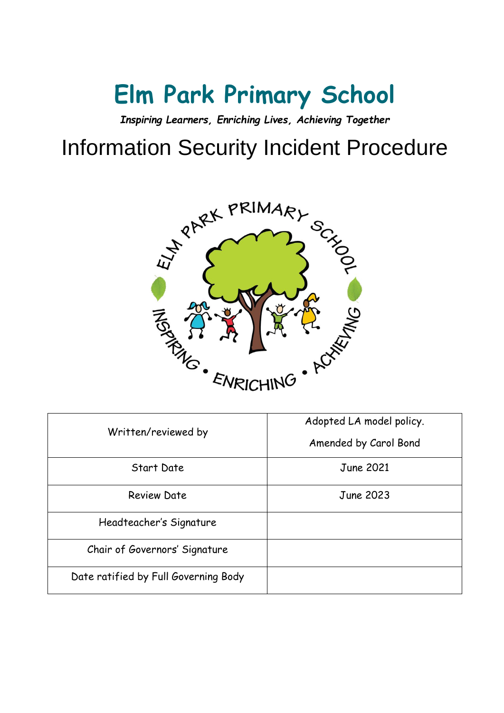# **Elm Park Primary School**

*Inspiring Learners, Enriching Lives, Achieving Together*

## Information Security Incident Procedure



| Written/reviewed by                  | Adopted LA model policy.<br>Amended by Carol Bond |
|--------------------------------------|---------------------------------------------------|
| <b>Start Date</b>                    | <b>June 2021</b>                                  |
| <b>Review Date</b>                   | June 2023                                         |
| Headteacher's Signature              |                                                   |
| Chair of Governors' Signature        |                                                   |
| Date ratified by Full Governing Body |                                                   |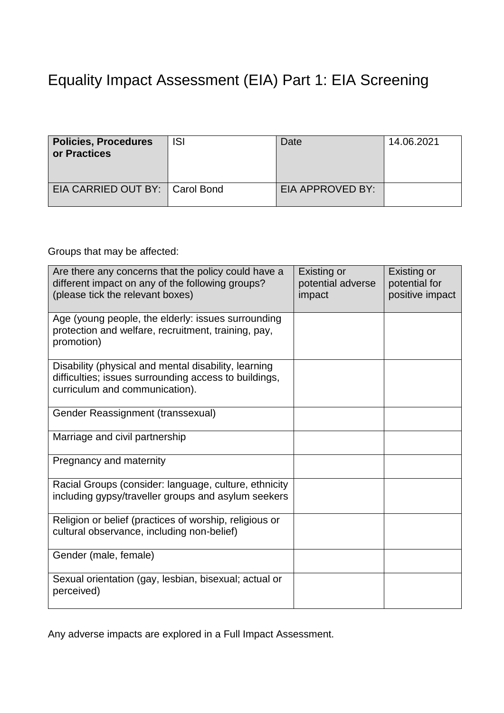### Equality Impact Assessment (EIA) Part 1: EIA Screening

| <b>Policies, Procedures</b><br>or Practices | ISI | Date             | 14.06.2021 |
|---------------------------------------------|-----|------------------|------------|
| EIA CARRIED OUT BY:   Carol Bond            |     | EIA APPROVED BY: |            |

#### Groups that may be affected:

| Are there any concerns that the policy could have a<br>different impact on any of the following groups?<br>(please tick the relevant boxes)     | Existing or<br>potential adverse<br>impact | Existing or<br>potential for<br>positive impact |
|-------------------------------------------------------------------------------------------------------------------------------------------------|--------------------------------------------|-------------------------------------------------|
| Age (young people, the elderly: issues surrounding<br>protection and welfare, recruitment, training, pay,<br>promotion)                         |                                            |                                                 |
| Disability (physical and mental disability, learning<br>difficulties; issues surrounding access to buildings,<br>curriculum and communication). |                                            |                                                 |
| Gender Reassignment (transsexual)                                                                                                               |                                            |                                                 |
| Marriage and civil partnership                                                                                                                  |                                            |                                                 |
| Pregnancy and maternity                                                                                                                         |                                            |                                                 |
| Racial Groups (consider: language, culture, ethnicity<br>including gypsy/traveller groups and asylum seekers                                    |                                            |                                                 |
| Religion or belief (practices of worship, religious or<br>cultural observance, including non-belief)                                            |                                            |                                                 |
| Gender (male, female)                                                                                                                           |                                            |                                                 |
| Sexual orientation (gay, lesbian, bisexual; actual or<br>perceived)                                                                             |                                            |                                                 |

Any adverse impacts are explored in a Full Impact Assessment.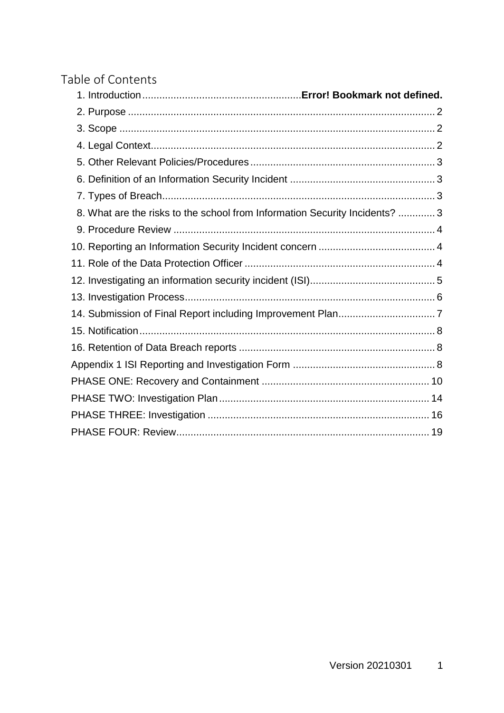#### Table of Contents

| 8. What are the risks to the school from Information Security Incidents?  3 |  |
|-----------------------------------------------------------------------------|--|
|                                                                             |  |
|                                                                             |  |
|                                                                             |  |
|                                                                             |  |
|                                                                             |  |
|                                                                             |  |
|                                                                             |  |
|                                                                             |  |
|                                                                             |  |
|                                                                             |  |
|                                                                             |  |
|                                                                             |  |
|                                                                             |  |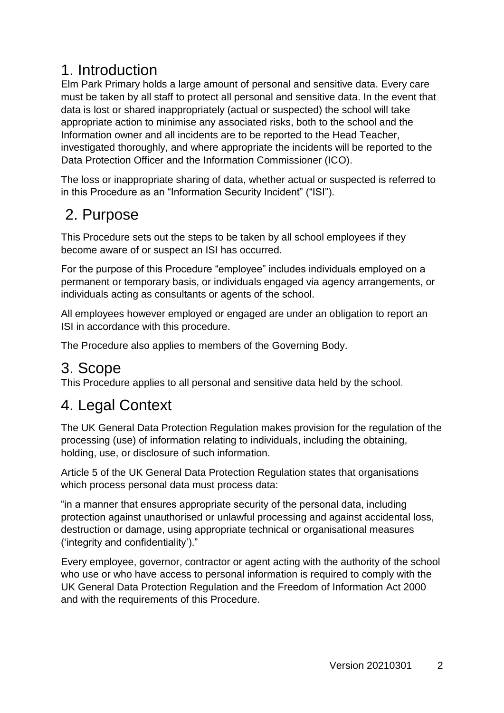### 1. Introduction

Elm Park Primary holds a large amount of personal and sensitive data. Every care must be taken by all staff to protect all personal and sensitive data. In the event that data is lost or shared inappropriately (actual or suspected) the school will take appropriate action to minimise any associated risks, both to the school and the Information owner and all incidents are to be reported to the Head Teacher, investigated thoroughly, and where appropriate the incidents will be reported to the Data Protection Officer and the Information Commissioner (ICO).

The loss or inappropriate sharing of data, whether actual or suspected is referred to in this Procedure as an "Information Security Incident" ("ISI").

### <span id="page-3-0"></span>2. Purpose

This Procedure sets out the steps to be taken by all school employees if they become aware of or suspect an ISI has occurred.

For the purpose of this Procedure "employee" includes individuals employed on a permanent or temporary basis, or individuals engaged via agency arrangements, or individuals acting as consultants or agents of the school.

All employees however employed or engaged are under an obligation to report an ISI in accordance with this procedure.

The Procedure also applies to members of the Governing Body.

### <span id="page-3-1"></span>3. Scope

This Procedure applies to all personal and sensitive data held by the school.

### <span id="page-3-2"></span>4. Legal Context

The UK General Data Protection Regulation makes provision for the regulation of the processing (use) of information relating to individuals, including the obtaining, holding, use, or disclosure of such information.

Article 5 of the UK General Data Protection Regulation states that organisations which process personal data must process data:

"in a manner that ensures appropriate security of the personal data, including protection against unauthorised or unlawful processing and against accidental loss, destruction or damage, using appropriate technical or organisational measures ('integrity and confidentiality')."

Every employee, governor, contractor or agent acting with the authority of the school who use or who have access to personal information is required to comply with the UK General Data Protection Regulation and the Freedom of Information Act 2000 and with the requirements of this Procedure.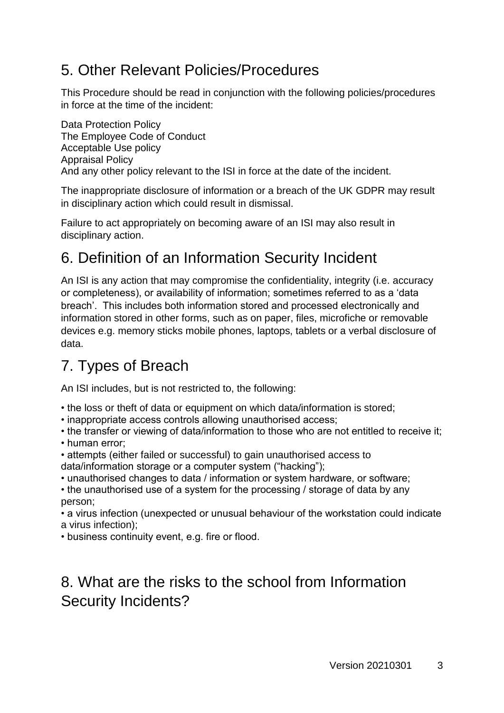### <span id="page-4-0"></span>5. Other Relevant Policies/Procedures

This Procedure should be read in conjunction with the following policies/procedures in force at the time of the incident:

Data Protection Policy The Employee Code of Conduct Acceptable Use policy Appraisal Policy And any other policy relevant to the ISI in force at the date of the incident.

The inappropriate disclosure of information or a breach of the UK GDPR may result in disciplinary action which could result in dismissal.

Failure to act appropriately on becoming aware of an ISI may also result in disciplinary action.

### <span id="page-4-1"></span>6. Definition of an Information Security Incident

An ISI is any action that may compromise the confidentiality, integrity (i.e. accuracy or completeness), or availability of information; sometimes referred to as a 'data breach'. This includes both information stored and processed electronically and information stored in other forms, such as on paper, files, microfiche or removable devices e.g. memory sticks mobile phones, laptops, tablets or a verbal disclosure of data.

### <span id="page-4-2"></span>7. Types of Breach

An ISI includes, but is not restricted to, the following:

- the loss or theft of data or equipment on which data/information is stored;
- inappropriate access controls allowing unauthorised access;

• the transfer or viewing of data/information to those who are not entitled to receive it;

- human error;
- attempts (either failed or successful) to gain unauthorised access to data/information storage or a computer system ("hacking");
- unauthorised changes to data / information or system hardware, or software;

• the unauthorised use of a system for the processing / storage of data by any person;

• a virus infection (unexpected or unusual behaviour of the workstation could indicate a virus infection);

• business continuity event, e.g. fire or flood.

### <span id="page-4-3"></span>8. What are the risks to the school from Information Security Incidents?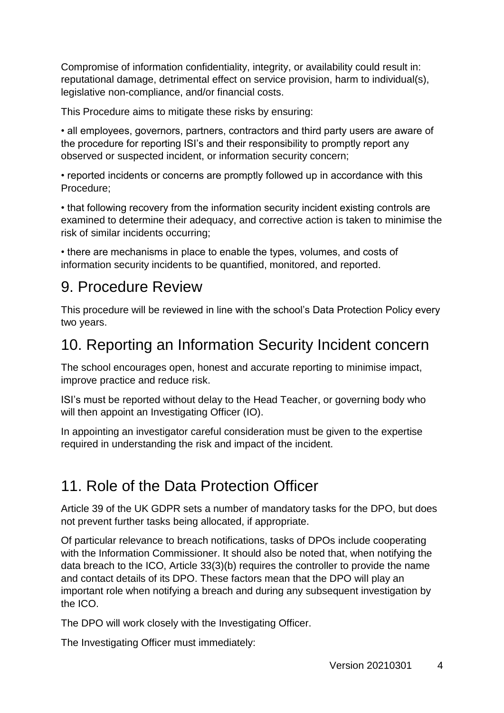Compromise of information confidentiality, integrity, or availability could result in: reputational damage, detrimental effect on service provision, harm to individual(s), legislative non-compliance, and/or financial costs.

This Procedure aims to mitigate these risks by ensuring:

• all employees, governors, partners, contractors and third party users are aware of the procedure for reporting ISI's and their responsibility to promptly report any observed or suspected incident, or information security concern;

• reported incidents or concerns are promptly followed up in accordance with this Procedure;

• that following recovery from the information security incident existing controls are examined to determine their adequacy, and corrective action is taken to minimise the risk of similar incidents occurring;

• there are mechanisms in place to enable the types, volumes, and costs of information security incidents to be quantified, monitored, and reported.

### <span id="page-5-0"></span>9. Procedure Review

This procedure will be reviewed in line with the school's Data Protection Policy every two years.

### <span id="page-5-1"></span>10. Reporting an Information Security Incident concern

The school encourages open, honest and accurate reporting to minimise impact, improve practice and reduce risk.

ISI's must be reported without delay to the Head Teacher, or governing body who will then appoint an Investigating Officer (IO).

In appointing an investigator careful consideration must be given to the expertise required in understanding the risk and impact of the incident.

### <span id="page-5-2"></span>11. Role of the Data Protection Officer

Article 39 of the UK GDPR sets a number of mandatory tasks for the DPO, but does not prevent further tasks being allocated, if appropriate.

Of particular relevance to breach notifications, tasks of DPOs include cooperating with the Information Commissioner. It should also be noted that, when notifying the data breach to the ICO, Article 33(3)(b) requires the controller to provide the name and contact details of its DPO. These factors mean that the DPO will play an important role when notifying a breach and during any subsequent investigation by the ICO.

The DPO will work closely with the Investigating Officer.

The Investigating Officer must immediately: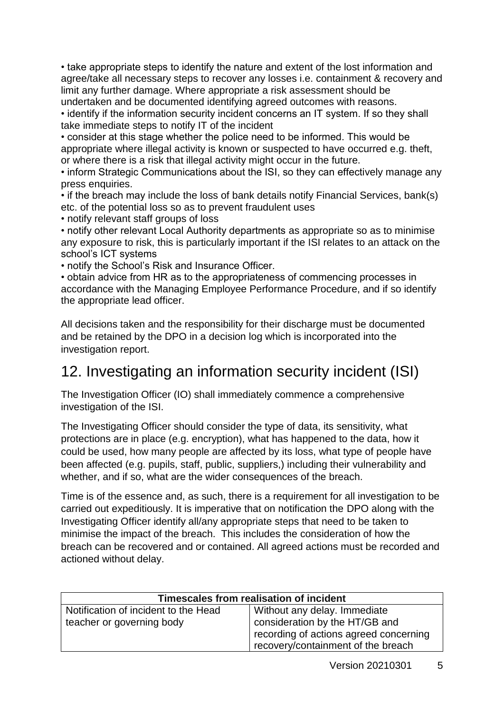• take appropriate steps to identify the nature and extent of the lost information and agree/take all necessary steps to recover any losses i.e. containment & recovery and limit any further damage. Where appropriate a risk assessment should be undertaken and be documented identifying agreed outcomes with reasons.

• identify if the information security incident concerns an IT system. If so they shall take immediate steps to notify IT of the incident

• consider at this stage whether the police need to be informed. This would be appropriate where illegal activity is known or suspected to have occurred e.g. theft, or where there is a risk that illegal activity might occur in the future.

• inform Strategic Communications about the ISI, so they can effectively manage any press enquiries.

• if the breach may include the loss of bank details notify Financial Services, bank(s) etc. of the potential loss so as to prevent fraudulent uses

• notify relevant staff groups of loss

• notify other relevant Local Authority departments as appropriate so as to minimise any exposure to risk, this is particularly important if the ISI relates to an attack on the school's ICT systems

• notify the School's Risk and Insurance Officer.

• obtain advice from HR as to the appropriateness of commencing processes in accordance with the Managing Employee Performance Procedure, and if so identify the appropriate lead officer.

All decisions taken and the responsibility for their discharge must be documented and be retained by the DPO in a decision log which is incorporated into the investigation report.

### <span id="page-6-0"></span>12. Investigating an information security incident (ISI)

The Investigation Officer (IO) shall immediately commence a comprehensive investigation of the ISI.

The Investigating Officer should consider the type of data, its sensitivity, what protections are in place (e.g. encryption), what has happened to the data, how it could be used, how many people are affected by its loss, what type of people have been affected (e.g. pupils, staff, public, suppliers,) including their vulnerability and whether, and if so, what are the wider consequences of the breach.

Time is of the essence and, as such, there is a requirement for all investigation to be carried out expeditiously. It is imperative that on notification the DPO along with the Investigating Officer identify all/any appropriate steps that need to be taken to minimise the impact of the breach. This includes the consideration of how the breach can be recovered and or contained. All agreed actions must be recorded and actioned without delay.

| Timescales from realisation of incident |                                        |  |
|-----------------------------------------|----------------------------------------|--|
| Notification of incident to the Head    | Without any delay. Immediate           |  |
| teacher or governing body               | consideration by the HT/GB and         |  |
|                                         | recording of actions agreed concerning |  |
|                                         | recovery/containment of the breach     |  |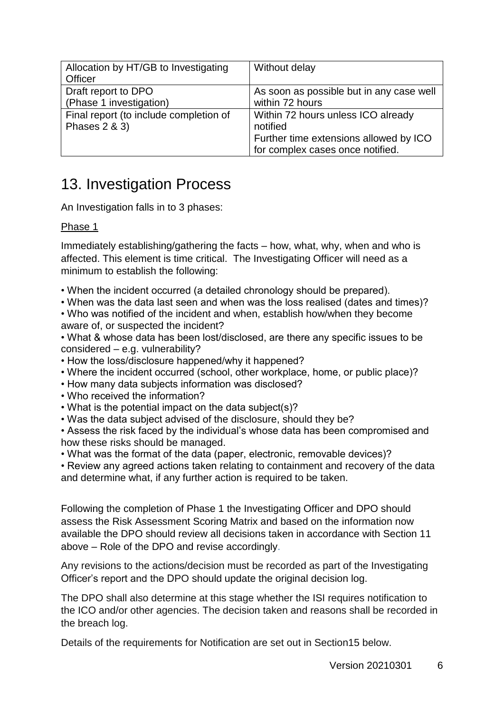| Allocation by HT/GB to Investigating   | Without delay                            |
|----------------------------------------|------------------------------------------|
| Officer                                |                                          |
| Draft report to DPO                    | As soon as possible but in any case well |
| (Phase 1 investigation)                | within 72 hours                          |
| Final report (to include completion of | Within 72 hours unless ICO already       |
| Phases 2 & 3)                          | notified                                 |
|                                        | Further time extensions allowed by ICO   |
|                                        | for complex cases once notified.         |

### <span id="page-7-0"></span>13. Investigation Process

An Investigation falls in to 3 phases:

#### Phase 1

Immediately establishing/gathering the facts – how, what, why, when and who is affected. This element is time critical. The Investigating Officer will need as a minimum to establish the following:

- When the incident occurred (a detailed chronology should be prepared).
- When was the data last seen and when was the loss realised (dates and times)?
- Who was notified of the incident and when, establish how/when they become aware of, or suspected the incident?
- What & whose data has been lost/disclosed, are there any specific issues to be considered – e.g. vulnerability?
- How the loss/disclosure happened/why it happened?
- Where the incident occurred (school, other workplace, home, or public place)?
- How many data subjects information was disclosed?
- Who received the information?
- What is the potential impact on the data subject(s)?
- Was the data subject advised of the disclosure, should they be?

• Assess the risk faced by the individual's whose data has been compromised and how these risks should be managed.

• What was the format of the data (paper, electronic, removable devices)?

• Review any agreed actions taken relating to containment and recovery of the data and determine what, if any further action is required to be taken.

Following the completion of Phase 1 the Investigating Officer and DPO should assess the Risk Assessment Scoring Matrix and based on the information now available the DPO should review all decisions taken in accordance with Section 11 above – Role of the DPO and revise accordingly.

Any revisions to the actions/decision must be recorded as part of the Investigating Officer's report and the DPO should update the original decision log.

The DPO shall also determine at this stage whether the ISI requires notification to the ICO and/or other agencies. The decision taken and reasons shall be recorded in the breach log.

Details of the requirements for Notification are set out in Section15 below.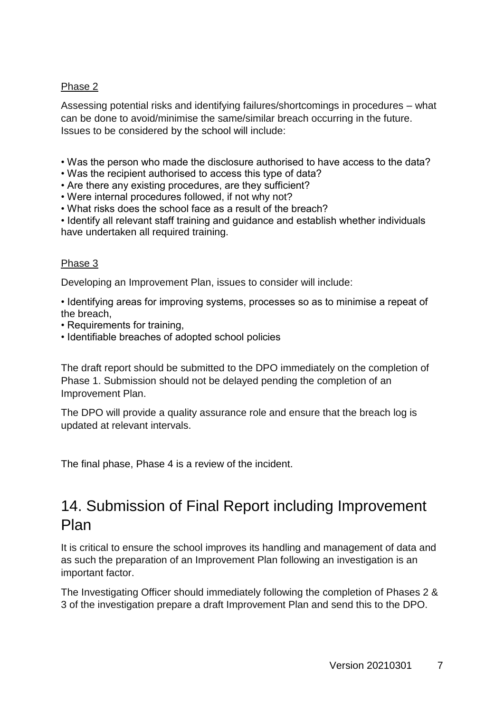#### Phase 2

Assessing potential risks and identifying failures/shortcomings in procedures – what can be done to avoid/minimise the same/similar breach occurring in the future. Issues to be considered by the school will include:

- Was the person who made the disclosure authorised to have access to the data?
- Was the recipient authorised to access this type of data?
- Are there any existing procedures, are they sufficient?
- Were internal procedures followed, if not why not?
- What risks does the school face as a result of the breach?
- Identify all relevant staff training and guidance and establish whether individuals have undertaken all required training.

#### Phase 3

Developing an Improvement Plan, issues to consider will include:

• Identifying areas for improving systems, processes so as to minimise a repeat of the breach,

- Requirements for training,
- Identifiable breaches of adopted school policies

The draft report should be submitted to the DPO immediately on the completion of Phase 1. Submission should not be delayed pending the completion of an Improvement Plan.

The DPO will provide a quality assurance role and ensure that the breach log is updated at relevant intervals.

The final phase, Phase 4 is a review of the incident.

### <span id="page-8-0"></span>14. Submission of Final Report including Improvement Plan

It is critical to ensure the school improves its handling and management of data and as such the preparation of an Improvement Plan following an investigation is an important factor.

The Investigating Officer should immediately following the completion of Phases 2 & 3 of the investigation prepare a draft Improvement Plan and send this to the DPO.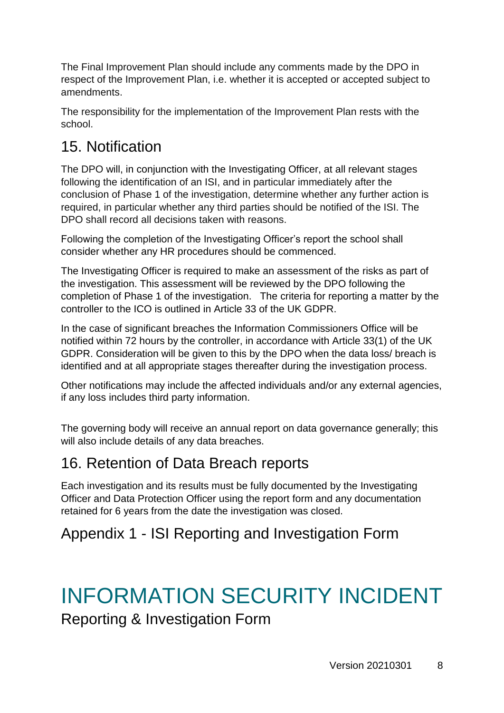The Final Improvement Plan should include any comments made by the DPO in respect of the Improvement Plan, i.e. whether it is accepted or accepted subject to amendments.

The responsibility for the implementation of the Improvement Plan rests with the school.

### <span id="page-9-0"></span>15. Notification

The DPO will, in conjunction with the Investigating Officer, at all relevant stages following the identification of an ISI, and in particular immediately after the conclusion of Phase 1 of the investigation, determine whether any further action is required, in particular whether any third parties should be notified of the ISI. The DPO shall record all decisions taken with reasons.

Following the completion of the Investigating Officer's report the school shall consider whether any HR procedures should be commenced.

The Investigating Officer is required to make an assessment of the risks as part of the investigation. This assessment will be reviewed by the DPO following the completion of Phase 1 of the investigation. The criteria for reporting a matter by the controller to the ICO is outlined in Article 33 of the UK GDPR.

In the case of significant breaches the Information Commissioners Office will be notified within 72 hours by the controller, in accordance with Article 33(1) of the UK GDPR. Consideration will be given to this by the DPO when the data loss/ breach is identified and at all appropriate stages thereafter during the investigation process.

Other notifications may include the affected individuals and/or any external agencies, if any loss includes third party information.

The governing body will receive an annual report on data governance generally; this will also include details of any data breaches.

### <span id="page-9-1"></span>16. Retention of Data Breach reports

Each investigation and its results must be fully documented by the Investigating Officer and Data Protection Officer using the report form and any documentation retained for 6 years from the date the investigation was closed.

### <span id="page-9-2"></span>Appendix 1 - ISI Reporting and Investigation Form

## INFORMATION SECURITY INCIDENT

Reporting & Investigation Form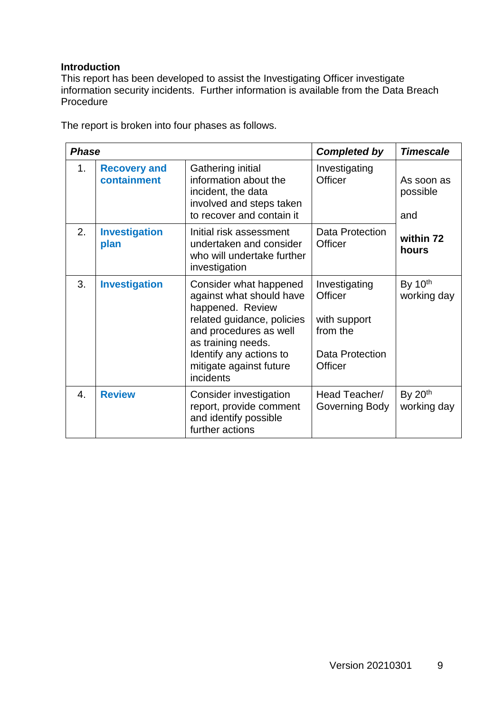#### **Introduction**

This report has been developed to assist the Investigating Officer investigate information security incidents. Further information is available from the Data Breach Procedure

The report is broken into four phases as follows.

| <b>Phase</b> |                                    | <b>Completed by</b>                                                                                                                                                                                                     | <b>Timescale</b>                                                                          |                               |
|--------------|------------------------------------|-------------------------------------------------------------------------------------------------------------------------------------------------------------------------------------------------------------------------|-------------------------------------------------------------------------------------------|-------------------------------|
| 1.           | <b>Recovery and</b><br>containment | Gathering initial<br>information about the<br>incident, the data<br>involved and steps taken<br>to recover and contain it                                                                                               | Investigating<br>Officer                                                                  | As soon as<br>possible<br>and |
| 2.           | <b>Investigation</b><br>plan       | Initial risk assessment<br>undertaken and consider<br>who will undertake further<br>investigation                                                                                                                       | Data Protection<br>Officer                                                                | within 72<br>hours            |
| 3.           | <b>Investigation</b>               | Consider what happened<br>against what should have<br>happened. Review<br>related guidance, policies<br>and procedures as well<br>as training needs.<br>Identify any actions to<br>mitigate against future<br>incidents | Investigating<br>Officer<br>with support<br>from the<br>Data Protection<br><b>Officer</b> | By $10th$<br>working day      |
| 4.           | <b>Review</b>                      | Consider investigation<br>report, provide comment<br>and identify possible<br>further actions                                                                                                                           | Head Teacher/<br>Governing Body                                                           | By $20th$<br>working day      |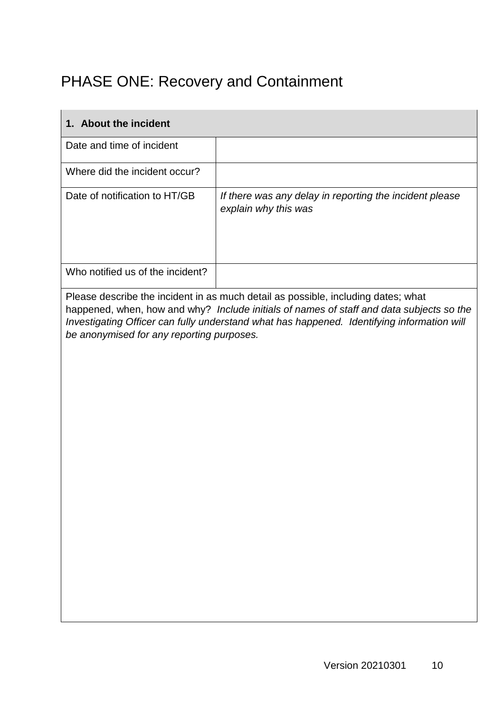### <span id="page-11-0"></span>PHASE ONE: Recovery and Containment

| 1. About the incident                     |                                                                                                                                                                                                                                                                             |
|-------------------------------------------|-----------------------------------------------------------------------------------------------------------------------------------------------------------------------------------------------------------------------------------------------------------------------------|
| Date and time of incident                 |                                                                                                                                                                                                                                                                             |
| Where did the incident occur?             |                                                                                                                                                                                                                                                                             |
| Date of notification to HT/GB             | If there was any delay in reporting the incident please<br>explain why this was                                                                                                                                                                                             |
| Who notified us of the incident?          |                                                                                                                                                                                                                                                                             |
| be anonymised for any reporting purposes. | Please describe the incident in as much detail as possible, including dates; what<br>happened, when, how and why? Include initials of names of staff and data subjects so the<br>Investigating Officer can fully understand what has happened. Identifying information will |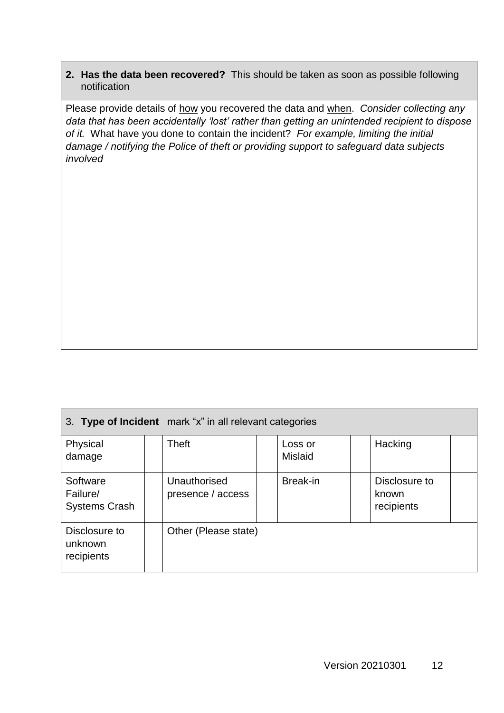#### **2. Has the data been recovered?** This should be taken as soon as possible following notification

Please provide details of how you recovered the data and when. *Consider collecting any data that has been accidentally 'lost' rather than getting an unintended recipient to dispose of it.* What have you done to contain the incident? *For example, limiting the initial damage / notifying the Police of theft or providing support to safeguard data subjects involved*

| 3. Type of Incident mark "x" in all relevant categories |                                   |                           |                                      |  |
|---------------------------------------------------------|-----------------------------------|---------------------------|--------------------------------------|--|
| Physical<br>damage                                      | Theft                             | Loss or<br><b>Mislaid</b> | Hacking                              |  |
| Software<br>Failure/<br><b>Systems Crash</b>            | Unauthorised<br>presence / access | Break-in                  | Disclosure to<br>known<br>recipients |  |
| Disclosure to<br>unknown<br>recipients                  | Other (Please state)              |                           |                                      |  |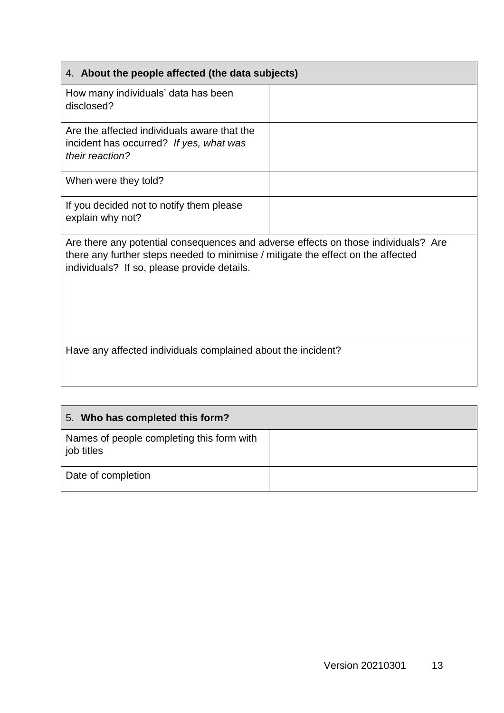| 4. About the people affected (the data subjects)                                                                                                                                                                      |  |  |
|-----------------------------------------------------------------------------------------------------------------------------------------------------------------------------------------------------------------------|--|--|
| How many individuals' data has been<br>disclosed?                                                                                                                                                                     |  |  |
| Are the affected individuals aware that the<br>incident has occurred? If yes, what was<br>their reaction?                                                                                                             |  |  |
| When were they told?                                                                                                                                                                                                  |  |  |
| If you decided not to notify them please<br>explain why not?                                                                                                                                                          |  |  |
| Are there any potential consequences and adverse effects on those individuals? Are<br>there any further steps needed to minimise / mitigate the effect on the affected<br>individuals? If so, please provide details. |  |  |
| Have any affected individuals complained about the incident?                                                                                                                                                          |  |  |

| 5. Who has completed this form?                         |  |
|---------------------------------------------------------|--|
| Names of people completing this form with<br>job titles |  |
| Date of completion                                      |  |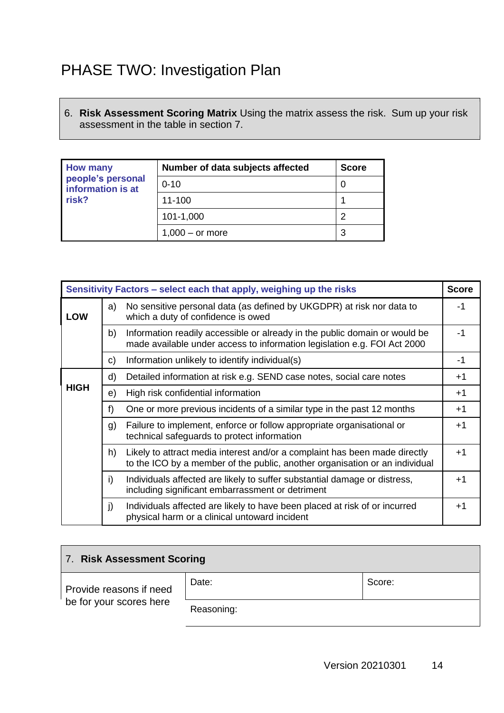### <span id="page-15-0"></span>PHASE TWO: Investigation Plan

6. **Risk Assessment Scoring Matrix** Using the matrix assess the risk. Sum up your risk assessment in the table in section 7.

| <b>How many</b><br>people's personal<br>information is at<br>risk? | Number of data subjects affected | <b>Score</b> |
|--------------------------------------------------------------------|----------------------------------|--------------|
|                                                                    | $0 - 10$                         |              |
|                                                                    | 11-100                           |              |
|                                                                    | 101-1,000                        |              |
|                                                                    | $1,000 -$ or more                | 3            |

| Sensitivity Factors – select each that apply, weighing up the risks |                                                                                                                   |                                                                                                                                                           | <b>Score</b> |
|---------------------------------------------------------------------|-------------------------------------------------------------------------------------------------------------------|-----------------------------------------------------------------------------------------------------------------------------------------------------------|--------------|
| <b>LOW</b>                                                          | No sensitive personal data (as defined by UKGDPR) at risk nor data to<br>a)<br>which a duty of confidence is owed |                                                                                                                                                           | -1           |
|                                                                     | b)                                                                                                                | Information readily accessible or already in the public domain or would be<br>made available under access to information legislation e.g. FOI Act 2000    | $-1$         |
|                                                                     | C)                                                                                                                | Information unlikely to identify individual(s)                                                                                                            | -1           |
|                                                                     | d)                                                                                                                | Detailed information at risk e.g. SEND case notes, social care notes                                                                                      | $+1$         |
| <b>HIGH</b>                                                         | e)                                                                                                                | High risk confidential information                                                                                                                        | $+1$         |
|                                                                     | f)                                                                                                                | One or more previous incidents of a similar type in the past 12 months                                                                                    | $+1$         |
|                                                                     | g)                                                                                                                | Failure to implement, enforce or follow appropriate organisational or<br>technical safeguards to protect information                                      | $+1$         |
|                                                                     | h)                                                                                                                | Likely to attract media interest and/or a complaint has been made directly<br>to the ICO by a member of the public, another organisation or an individual | $+1$         |
|                                                                     | i)                                                                                                                | Individuals affected are likely to suffer substantial damage or distress,<br>including significant embarrassment or detriment                             | $+1$         |
|                                                                     | j)                                                                                                                | Individuals affected are likely to have been placed at risk of or incurred<br>physical harm or a clinical untoward incident                               | $+1$         |

| 7. Risk Assessment Scoring |            |        |  |
|----------------------------|------------|--------|--|
| Provide reasons if need    | Date:      | Score: |  |
| be for your scores here    | Reasoning: |        |  |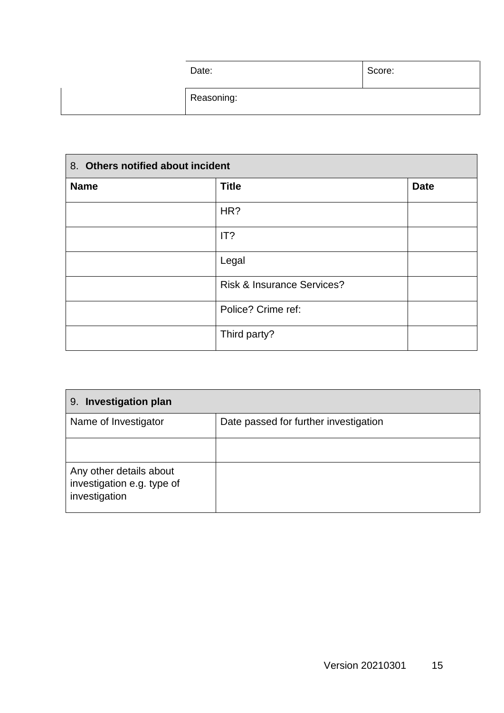| Date:      | Score: |
|------------|--------|
| Reasoning: |        |

| 8. Others notified about incident |                                       |             |
|-----------------------------------|---------------------------------------|-------------|
| <b>Name</b>                       | <b>Title</b>                          | <b>Date</b> |
|                                   | HR?                                   |             |
|                                   | IT?                                   |             |
|                                   | Legal                                 |             |
|                                   | <b>Risk &amp; Insurance Services?</b> |             |
|                                   | Police? Crime ref:                    |             |
|                                   | Third party?                          |             |

| <b>Investigation plan</b><br>9.                                        |                                       |  |
|------------------------------------------------------------------------|---------------------------------------|--|
| Name of Investigator                                                   | Date passed for further investigation |  |
|                                                                        |                                       |  |
| Any other details about<br>investigation e.g. type of<br>investigation |                                       |  |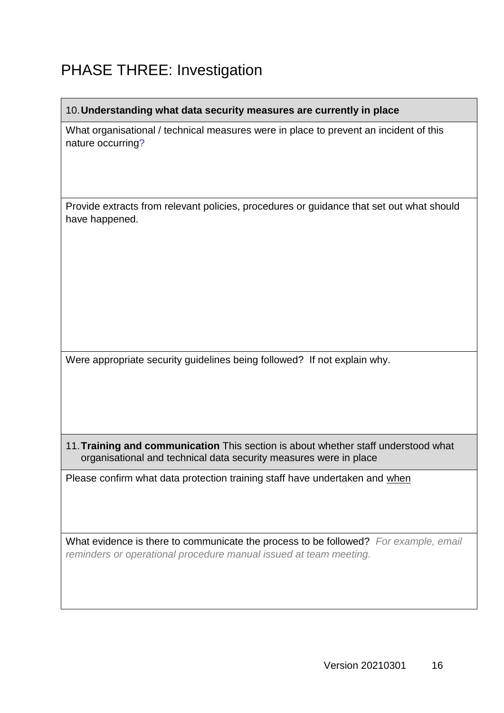### <span id="page-17-0"></span>PHASE THREE: Investigation

#### 10.**Understanding what data security measures are currently in place**

What organisational / technical measures were in place to prevent an incident of this nature occurring?

Provide extracts from relevant policies, procedures or guidance that set out what should have happened.

Were appropriate security guidelines being followed? If not explain why.

11.**Training and communication** This section is about whether staff understood what organisational and technical data security measures were in place

Please confirm what data protection training staff have undertaken and when

What evidence is there to communicate the process to be followed? *For example, email reminders or operational procedure manual issued at team meeting.*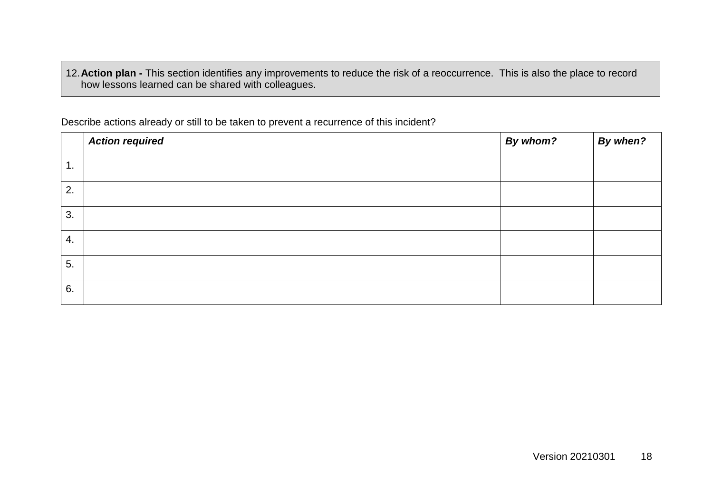12.**Action plan -** This section identifies any improvements to reduce the risk of a reoccurrence. This is also the place to record how lessons learned can be shared with colleagues.

Describe actions already or still to be taken to prevent a recurrence of this incident?

|                  | <b>Action required</b> | By whom? | By when? |
|------------------|------------------------|----------|----------|
| 1.               |                        |          |          |
| 2.               |                        |          |          |
| 3.               |                        |          |          |
| $\overline{4}$ . |                        |          |          |
| 5.               |                        |          |          |
| 6.               |                        |          |          |